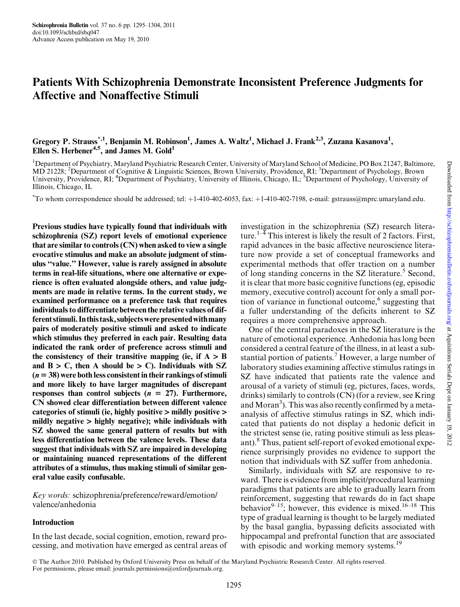# Patients With Schizophrenia Demonstrate Inconsistent Preference Judgments for Affective and Nonaffective Stimuli

# Gregory P. Strauss<sup>\*,1</sup>, Benjamin M. Robinson<sup>1</sup>, James A. Waltz<sup>1</sup>, Michael J. Frank<sup>2,3</sup>, Zuzana Kasanova<sup>1</sup>, Ellen S. Herbener<sup>4,5</sup>, and James M. Gold<sup>1</sup>

<sup>1</sup>Department of Psychiatry, Maryland Psychiatric Research Center, University of Maryland School of Medicine, PO Box 21247, Baltimore, MD 21228; <sup>2</sup>Department of Cognitive & Linguistic Sciences, Brown University, Providence, RI; <sup>3</sup>Department of Psychology, Brown University, Providence, RI; <sup>4</sup>Department of Psychiatry, University of Illinois, Chicago, IL; <sup>5</sup>Department of Psychology, University of Illinois, Chicago, IL

\*To whom correspondence should be addressed; tel: +1-410-402-6053, fax: +1-410-402-7198, e-mail: gstrauss@mprc.umaryland.edu.

Previous studies have typically found that individuals with schizophrenia (SZ) report levels of emotional experience that are similar to controls (CN) when asked to view a single evocative stimulus and make an absolute judgment of stimulus ''value.'' However, value is rarely assigned in absolute terms in real-life situations, where one alternative or experience is often evaluated alongside others, and value judgments are made in relative terms. In the current study, we examined performance on a preference task that requires individuals to differentiate between the relative values of different stimuli. In this task, subjects were presented with many pairs of moderately positive stimuli and asked to indicate which stimulus they preferred in each pair. Resulting data indicated the rank order of preference across stimuli and the consistency of their transitive mapping (ie, if  $A > B$ and  $B > C$ , then A should be  $> C$ ). Individuals with SZ  $(n = 38)$  were both less consistent in their rankings of stimuli and more likely to have larger magnitudes of discrepant responses than control subjects  $(n = 27)$ . Furthermore, CN showed clear differentiation between different valence categories of stimuli (ie, highly positive > mildly positive > mildly negative > highly negative); while individuals with SZ showed the same general pattern of results but with less differentiation between the valence levels. These data suggest that individuals with SZ are impaired in developing or maintaining nuanced representations of the different attributes of a stimulus, thus making stimuli of similar general value easily confusable.

Key words: schizophrenia/preference/reward/emotion/ valence/anhedonia

### Introduction

In the last decade, social cognition, emotion, reward processing, and motivation have emerged as central areas of investigation in the schizophrenia (SZ) research literature.<sup>1–4</sup> This interest is likely the result of 2 factors. First, rapid advances in the basic affective neuroscience literature now provide a set of conceptual frameworks and experimental methods that offer traction on a number of long standing concerns in the SZ literature.<sup>5</sup> Second, it is clear that more basic cognitive functions (eg, episodic memory, executive control) account for only a small portion of variance in functional outcome, $6$  suggesting that a fuller understanding of the deficits inherent to SZ requires a more comprehensive approach.

One of the central paradoxes in the SZ literature is the nature of emotional experience. Anhedonia has long been considered a central feature of the illness, in at least a substantial portion of patients.<sup>7</sup> However, a large number of laboratory studies examining affective stimulus ratings in SZ have indicated that patients rate the valence and arousal of a variety of stimuli (eg, pictures, faces, words, drinks) similarly to controls (CN) (for a review, see Kring and Moran<sup>3</sup>). This was also recently confirmed by a metaanalysis of affective stimulus ratings in SZ, which indicated that patients do not display a hedonic deficit in the strictest sense (ie, rating positive stimuli as less pleasant).8 Thus, patient self-report of evoked emotional experience surprisingly provides no evidence to support the notion that individuals with SZ suffer from anhedonia.

Similarly, individuals with SZ are responsive to reward. There is evidence from implicit/procedural learning paradigms that patients are able to gradually learn from reinforcement, suggesting that rewards do in fact shape behavior<sup>9–15</sup>; however, this evidence is mixed.<sup>16–18</sup> This type of gradual learning is thought to be largely mediated by the basal ganglia, bypassing deficits associated with hippocampal and prefrontal function that are associated with episodic and working memory systems.<sup>19</sup>

The Author 2010. Published by Oxford University Press on behalf of the Maryland Psychiatric Research Center. All rights reserved. For permissions, please email: journals.permissions@oxfordjournals.org.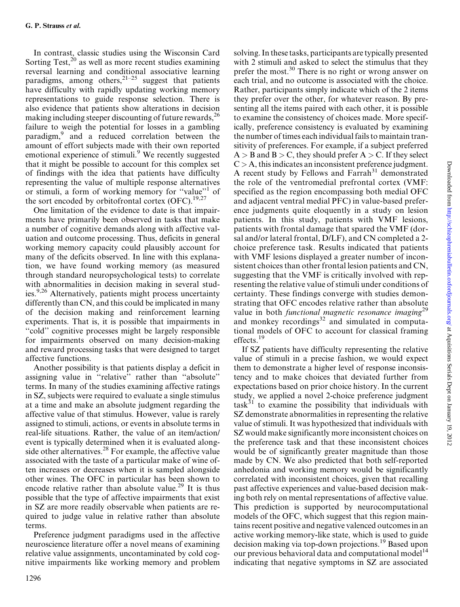In contrast, classic studies using the Wisconsin Card Sorting Test, $^{20}$  as well as more recent studies examining reversal learning and conditional associative learning paradigms, among others,  $21-25$  suggest that patients have difficulty with rapidly updating working memory representations to guide response selection. There is also evidence that patients show alterations in decision making including steeper discounting of future rewards, <sup>26</sup> failure to weigh the potential for losses in a gambling paradigm,<sup>9</sup> and a reduced correlation between the amount of effort subjects made with their own reported emotional experience of stimuli.<sup>9</sup> We recently suggested that it might be possible to account for this complex set of findings with the idea that patients have difficulty representing the value of multiple response alternatives or stimuli, a form of working memory for ''value''1 of the sort encoded by orbitofrontal cortex (OFC).<sup>19,27</sup>

One limitation of the evidence to date is that impairments have primarily been observed in tasks that make a number of cognitive demands along with affective valuation and outcome processing. Thus, deficits in general working memory capacity could plausibly account for many of the deficits observed. In line with this explanation, we have found working memory (as measured through standard neuropsychological tests) to correlate with abnormalities in decision making in several studies.<sup>9,26</sup> Alternatively, patients might process uncertainty differently than CN, and this could be implicated in many of the decision making and reinforcement learning experiments. That is, it is possible that impairments in ''cold'' cognitive processes might be largely responsible for impairments observed on many decision-making and reward processing tasks that were designed to target affective functions.

Another possibility is that patients display a deficit in assigning value in ''relative'' rather than ''absolute'' terms. In many of the studies examining affective ratings in SZ, subjects were required to evaluate a single stimulus at a time and make an absolute judgment regarding the affective value of that stimulus. However, value is rarely assigned to stimuli, actions, or events in absolute terms in real-life situations. Rather, the value of an item/action/ event is typically determined when it is evaluated alongside other alternatives.<sup>28</sup> For example, the affective value associated with the taste of a particular make of wine often increases or decreases when it is sampled alongside other wines. The OFC in particular has been shown to encode relative rather than absolute value.<sup>29</sup> It is thus possible that the type of affective impairments that exist in SZ are more readily observable when patients are required to judge value in relative rather than absolute terms.

Preference judgment paradigms used in the affective neuroscience literature offer a novel means of examining relative value assignments, uncontaminated by cold cognitive impairments like working memory and problem with 2 stimuli and asked to select the stimulus that they prefer the most.<sup>30</sup> There is no right or wrong answer on each trial, and no outcome is associated with the choice. Rather, participants simply indicate which of the 2 items they prefer over the other, for whatever reason. By presenting all the items paired with each other, it is possible to examine the consistency of choices made. More specifically, preference consistency is evaluated by examining the number of times each individual fails to maintain transitivity of preferences. For example, if a subject preferred  $A > B$  and  $B > C$ , they should prefer  $A > C$ . If they select  $C > A$ , this indicates an inconsistent preference judgment. A recent study by Fellows and Farrah<sup>31</sup> demonstrated the role of the ventromedial prefrontal cortex (VMF: specified as the region encompassing both medial OFC and adjacent ventral medial PFC) in value-based preference judgments quite eloquently in a study on lesion patients. In this study, patients with VMF lesions, patients with frontal damage that spared the VMF (dorsal and/or lateral frontal, D/LF), and CN completed a 2 choice preference task. Results indicated that patients with VMF lesions displayed a greater number of inconsistent choices than other frontal lesion patients and CN, suggesting that the VMF is critically involved with representing the relative value of stimuli under conditions of certainty. These findings converge with studies demonstrating that OFC encodes relative rather than absolute value in both *functional magnetic resonance imaging*<sup>29</sup> and monkey recordings $x^3$  and simulated in computational models of OFC to account for classical framing effects.<sup>19</sup>

solving. In these tasks, participants are typically presented

If SZ patients have difficulty representing the relative value of stimuli in a precise fashion, we would expect them to demonstrate a higher level of response inconsistency and to make choices that deviated further from expectations based on prior choice history. In the current study, we applied a novel 2-choice preference judgment task $31$  to examine the possibility that individuals with SZ demonstrate abnormalities in representing the relative value of stimuli. It was hypothesized that individuals with SZ would make significantly more inconsistent choices on the preference task and that these inconsistent choices would be of significantly greater magnitude than those made by CN. We also predicted that both self-reported anhedonia and working memory would be significantly correlated with inconsistent choices, given that recalling past affective experiences and value-based decision making both rely on mental representations of affective value. This prediction is supported by neurocomputational models of the OFC, which suggest that this region maintains recent positive and negative valenced outcomes in an active working memory-like state, which is used to guide decision making via top-down projections.<sup>19</sup> Based upon our previous behavioral data and computational model<sup>14</sup> indicating that negative symptoms in SZ are associated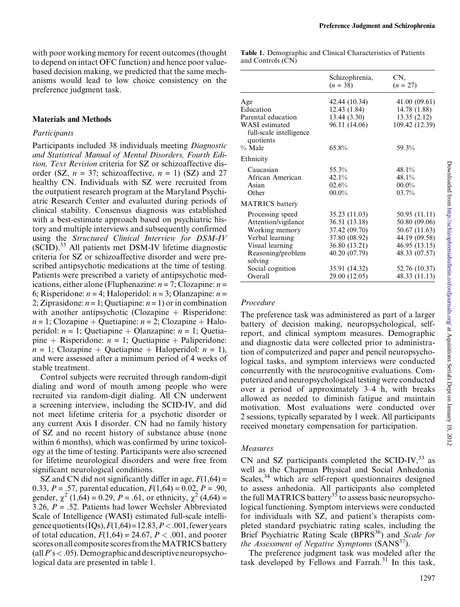with poor working memory for recent outcomes (thought to depend on intact OFC function) and hence poor valuebased decision making, we predicted that the same mechanisms would lead to low choice consistency on the preference judgment task.

#### Materials and Methods

#### Participants

Participants included 38 individuals meeting Diagnostic and Statistical Manual of Mental Disorders, Fourth Edition, Text Revision criteria for SZ or schizoaffective disorder (SZ,  $n = 37$ ; schizoaffective,  $n = 1$ ) (SZ) and 27 healthy CN. Individuals with SZ were recruited from the outpatient research program at the Maryland Psychiatric Research Center and evaluated during periods of clinical stability. Consensus diagnosis was established with a best-estimate approach based on psychiatric history and multiple interviews and subsequently confirmed using the Structured Clinical Interview for DSM-IV (SCID).<sup>33</sup> All patients met DSM-IV lifetime diagnostic criteria for SZ or schizoaffective disorder and were prescribed antipsychotic medications at the time of testing. Patients were prescribed a variety of antipsychotic medications, either alone (Fluphenazine:  $n = 7$ ; Clozapine:  $n =$ 6; Risperidone:  $n = 4$ ; Haloperidol:  $n = 3$ ; Olanzapine:  $n =$ 2; Ziprasidone:  $n = 1$ ; Quetiapine:  $n = 1$ ) or in combination with another antipsychotic (Clozapine  $+$  Risperidone:  $n = 1$ ; Clozapine + Quetiapine:  $n = 2$ ; Clozapine + Haloperidol:  $n = 1$ ; Quetiapine + Olanzapine:  $n = 1$ ; Quetiapine + Risperidone:  $n = 1$ ; Quetiapine + Paliperidone:  $n = 1$ ; Clozapine + Quetiapine + Haloperidol:  $n = 1$ ), and were assessed after a minimum period of 4 weeks of stable treatment.

Control subjects were recruited through random-digit dialing and word of mouth among people who were recruited via random-digit dialing. All CN underwent a screening interview, including the SCID-IV, and did not meet lifetime criteria for a psychotic disorder or any current Axis I disorder. CN had no family history of SZ and no recent history of substance abuse (none within 6 months), which was confirmed by urine toxicology at the time of testing. Participants were also screened for lifetime neurological disorders and were free from significant neurological conditions.

SZ and CN did not significantly differ in age,  $F(1,64)$  = 0.33,  $P = .57$ , parental education,  $F(1,64) = 0.02$ ,  $P = .90$ , gender,  $\chi^2$  (1,64) = 0.29, P = .61, or ethnicity,  $\chi^2$  (4,64) = 3.26,  $P = .52$ . Patients had lower Wechsler Abbreviated Scale of Intelligence (WASI) estimated full-scale intelligence quotients (IQs),  $F(1,64) = 12.83, P < .001$ , fewer years of total education,  $F(1,64) = 24.67$ ,  $P < .001$ , and poorer scores on all composite scores from the MATRICS battery (all  $P$ 's < .05). Demographic and descriptive neuropsychological data are presented in table 1.

|                                                               | Schizophrenia,<br>$(n = 38)$ | CN,<br>$(n = 27)$ |  |  |
|---------------------------------------------------------------|------------------------------|-------------------|--|--|
| Age                                                           | 42.44 (10.34)                | 41.00 (09.61)     |  |  |
| Education                                                     | 12.43 (1.84)                 | 14.78 (1.88)      |  |  |
| Parental education                                            | 13.44(3.30)                  | 13.35(2.12)       |  |  |
| <b>WASI</b> estimated<br>full-scale intelligence<br>quotients | 96.11 (14.06)                | 109.42 (12.39)    |  |  |
| $\%$ Male                                                     | 65.8%                        | 59.3%             |  |  |
| Ethnicity                                                     |                              |                   |  |  |
| Caucasian                                                     | 55.3%                        | 48.1%             |  |  |
| African American                                              | 42.1%                        | 48.1%             |  |  |
| Asian                                                         | 02.6%                        | $00.0\%$          |  |  |
| Other                                                         | $00.0\%$                     | 03.7%             |  |  |
| <b>MATRICS</b> battery                                        |                              |                   |  |  |
| Processing speed                                              | 35.23 (11.03)                | 50.95 (11.11)     |  |  |
| Attention/vigilance                                           | 36.51 (13.18)                | 50.80 (09.06)     |  |  |
| Working memory                                                | 37.42 (09.70)                | 50.67 (11.63)     |  |  |
| Verbal learning                                               | 37.80 (08.92)                | 44.19 (09.58)     |  |  |
| Visual learning                                               | 36.80 (13.21)                | 46.95 (13.15)     |  |  |
| Reasoning/problem<br>solving                                  | 40.20 (07.79)                | 48.33 (07.57)     |  |  |
| Social cognition                                              | 35.91 (14.32)                | 52.76 (10.37)     |  |  |
| Overall                                                       | 29.00 (12.05)                | 48.33 (11.13)     |  |  |

## Procedure

The preference task was administered as part of a larger battery of decision making, neuropsychological, selfreport, and clinical symptom measures. Demographic and diagnostic data were collected prior to administration of computerized and paper and pencil neuropsychological tasks, and symptom interviews were conducted concurrently with the neurocognitive evaluations. Computerized and neuropsychological testing were conducted over a period of approximately 3–4 h, with breaks allowed as needed to diminish fatigue and maintain motivation. Most evaluations were conducted over 2 sessions, typically separated by 1 week. All participants received monetary compensation for participation.

### Measures

CN and SZ participants completed the SCID-IV, $^{33}$  as well as the Chapman Physical and Social Anhedonia Scales, $34$  which are self-report questionnaires designed to assess anhedonia. All participants also completed the full MATRICS battery<sup>35</sup> to assess basic neuropsychological functioning. Symptom interviews were conducted for individuals with SZ, and patient's therapists completed standard psychiatric rating scales, including the Brief Psychiatric Rating Scale (BPRS<sup>36</sup>) and Scale for the Assessment of Negative Symptoms  $(SANS<sup>37</sup>)$ .

The preference judgment task was modeled after the task developed by Fellows and Farrah.<sup>31</sup> In this task,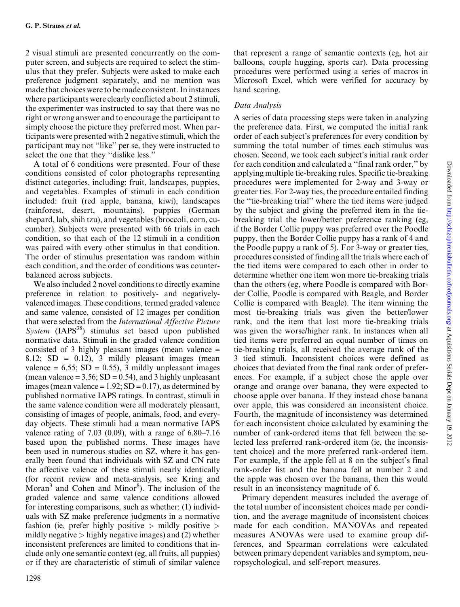2 visual stimuli are presented concurrently on the computer screen, and subjects are required to select the stimulus that they prefer. Subjects were asked to make each preference judgment separately, and no mention was made that choices were to be made consistent. In instances where participants were clearly conflicted about 2 stimuli, the experimenter was instructed to say that there was no right or wrong answer and to encourage the participant to simply choose the picture they preferred most. When participants were presented with 2 negative stimuli, which the participant may not ''like'' per se, they were instructed to select the one that they ''dislike less.''

A total of 6 conditions were presented. Four of these conditions consisted of color photographs representing distinct categories, including: fruit, landscapes, puppies, and vegetables. Examples of stimuli in each condition included: fruit (red apple, banana, kiwi), landscapes (rainforest, desert, mountains), puppies (German shepard, lab, shih tzu), and vegetables (broccoli, corn, cucumber). Subjects were presented with 66 trials in each condition, so that each of the 12 stimuli in a condition was paired with every other stimulus in that condition. The order of stimulus presentation was random within each condition, and the order of conditions was counterbalanced across subjects.

We also included 2 novel conditions to directly examine preference in relation to positively- and negativelyvalenced images. These conditions, termed graded valence and same valence, consisted of 12 images per condition that were selected from the International Affective Picture System  $(IAPS<sup>38</sup>)$  stimulus set based upon published normative data. Stimuli in the graded valence condition consisted of 3 highly pleasant images (mean valence = 8.12;  $SD = 0.12$ , 3 mildly pleasant images (mean valence =  $6.55$ ; SD = 0.55), 3 mildly unpleasant images (mean valence =  $3.56$ ; SD = 0.54), and 3 highly unpleasant images (mean valence =  $1.92$ ; SD =  $0.17$ ), as determined by published normative IAPS ratings. In contrast, stimuli in the same valence condition were all moderately pleasant, consisting of images of people, animals, food, and everyday objects. These stimuli had a mean normative IAPS valence rating of 7.03 (0.09), with a range of 6.80–7.16 based upon the published norms. These images have been used in numerous studies on SZ, where it has generally been found that individuals with SZ and CN rate the affective valence of these stimuli nearly identically (for recent review and meta-analysis, see Kring and Moran<sup>3</sup> and Cohen and Minor<sup>8</sup>). The inclusion of the graded valence and same valence conditions allowed for interesting comparisons, such as whether: (1) individuals with SZ make preference judgments in a normative fashion (ie, prefer highly positive  $>$  mildly positive  $>$ mildly negative  $>$  highly negative images) and (2) whether inconsistent preferences are limited to conditions that include only one semantic context (eg, all fruits, all puppies) or if they are characteristic of stimuli of similar valence

that represent a range of semantic contexts (eg, hot air balloons, couple hugging, sports car). Data processing procedures were performed using a series of macros in Microsoft Excel, which were verified for accuracy by hand scoring.

## Data Analysis

A series of data processing steps were taken in analyzing the preference data. First, we computed the initial rank order of each subject's preferences for every condition by summing the total number of times each stimulus was chosen. Second, we took each subject's initial rank order for each condition and calculated a ''final rank order,'' by applying multiple tie-breaking rules. Specific tie-breaking procedures were implemented for 2-way and 3-way or greater ties. For 2-way ties, the procedure entailed finding the ''tie-breaking trial'' where the tied items were judged by the subject and giving the preferred item in the tiebreaking trial the lower/better preference ranking (eg, if the Border Collie puppy was preferred over the Poodle puppy, then the Border Collie puppy has a rank of 4 and the Poodle puppy a rank of 5). For 3-way or greater ties, procedures consisted of finding all the trials where each of the tied items were compared to each other in order to determine whether one item won more tie-breaking trials than the others (eg, where Poodle is compared with Border Collie, Poodle is compared with Beagle, and Border Collie is compared with Beagle). The item winning the most tie-breaking trials was given the better/lower rank, and the item that lost more tie-breaking trials was given the worse/higher rank. In instances when all tied items were preferred an equal number of times on tie-breaking trials, all received the average rank of the 3 tied stimuli. Inconsistent choices were defined as choices that deviated from the final rank order of preferences. For example, if a subject chose the apple over orange and orange over banana, they were expected to choose apple over banana. If they instead chose banana over apple, this was considered an inconsistent choice. Fourth, the magnitude of inconsistency was determined for each inconsistent choice calculated by examining the number of rank-ordered items that fell between the selected less preferred rank-ordered item (ie, the inconsistent choice) and the more preferred rank-ordered item. For example, if the apple fell at 8 on the subject's final rank-order list and the banana fell at number 2 and the apple was chosen over the banana, then this would result in an inconsistency magnitude of 6.

Primary dependent measures included the average of the total number of inconsistent choices made per condition, and the average magnitude of inconsistent choices made for each condition. MANOVAs and repeated measures ANOVAs were used to examine group differences, and Spearman correlations were calculated between primary dependent variables and symptom, neuropsychological, and self-report measures.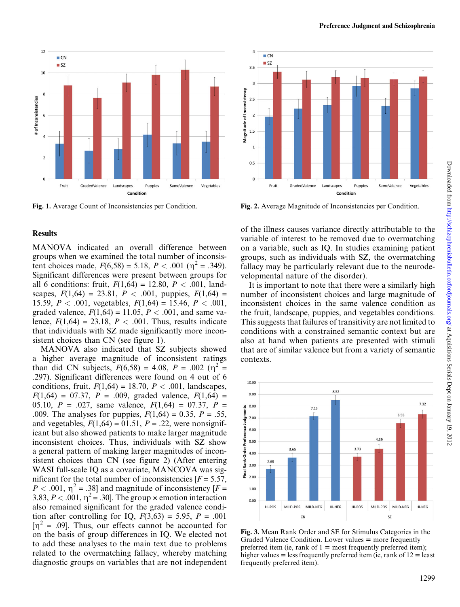

#### **Results**

MANOVA indicated an overall difference between groups when we examined the total number of inconsistent choices made,  $F(6,58) = 5.18$ ,  $P < .001$  ( $\eta^2 = .349$ ). Significant differences were present between groups for all 6 conditions: fruit,  $F(1,64) = 12.80, P < .001$ , landscapes,  $F(1,64) = 23.81$ ,  $P < .001$ , puppies,  $F(1,64) =$ 15.59,  $P < .001$ , vegetables,  $F(1,64) = 15.46$ ,  $P < .001$ , graded valence,  $F(1,64) = 11.05$ ,  $P < .001$ , and same valence,  $F(1,64) = 23.18$ ,  $P < .001$ . Thus, results indicate that individuals with SZ made significantly more inconsistent choices than CN (see figure 1).

MANOVA also indicated that SZ subjects showed a higher average magnitude of inconsistent ratings than did CN subjects,  $F(6,58) = 4.08$ ,  $P = .002$  ( $\eta^2 =$ .297). Significant differences were found on 4 out of 6 conditions, fruit,  $F(1,64) = 18.70$ ,  $P < .001$ , landscapes,  $F(1,64) = 07.37$ ,  $P = .009$ , graded valence,  $F(1,64) =$ 05.10,  $P = 0.027$ , same valence,  $F(1,64) = 07.37$ ,  $P =$ .009. The analyses for puppies,  $F(1,64) = 0.35$ ,  $P = .55$ , and vegetables,  $F(1,64) = 01.51$ ,  $P = .22$ , were nonsignificant but also showed patients to make larger magnitude inconsistent choices. Thus, individuals with SZ show a general pattern of making larger magnitudes of inconsistent choices than CN (see figure 2) (After entering WASI full-scale IQ as a covariate, MANCOVA was significant for the total number of inconsistencies  $[F = 5.57]$ ,  $P < .001$ ,  $\eta^2 = .38$ ] and magnitude of inconsistency [F = 3.83,  $P < .001$ ,  $\eta^2 = .30$ . The group  $\times$  emotion interaction also remained significant for the graded valence condition after controlling for IQ,  $F(3,63) = 5.95$ ,  $P = .001$  $[\eta^2 = .09]$ . Thus, our effects cannot be accounted for on the basis of group differences in IQ. We elected not to add these analyses to the main text due to problems related to the overmatching fallacy, whereby matching diagnostic groups on variables that are not independent



Fig. 1. Average Count of Inconsistencies per Condition. Fig. 2. Average Magnitude of Inconsistencies per Condition.

of the illness causes variance directly attributable to the variable of interest to be removed due to overmatching on a variable, such as IQ. In studies examining patient groups, such as individuals with SZ, the overmatching fallacy may be particularly relevant due to the neurodevelopmental nature of the disorder).

It is important to note that there were a similarly high number of inconsistent choices and large magnitude of inconsistent choices in the same valence condition as the fruit, landscape, puppies, and vegetables conditions. This suggests that failures of transitivity are not limited to conditions with a constrained semantic context but are also at hand when patients are presented with stimuli that are of similar valence but from a variety of semantic contexts.

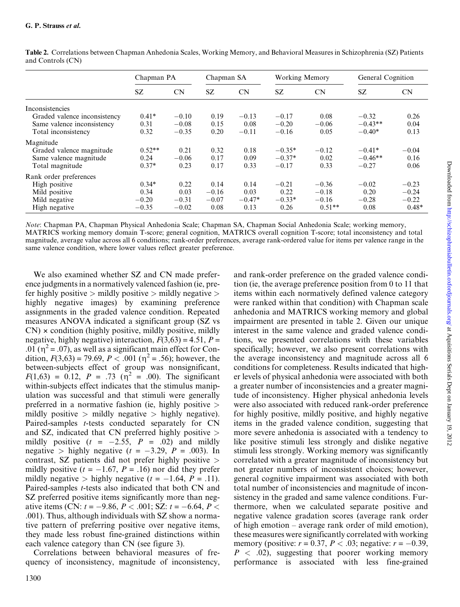|                              | Chapman PA |         | Chapman SA |          | <b>Working Memory</b> |          | General Cognition |         |
|------------------------------|------------|---------|------------|----------|-----------------------|----------|-------------------|---------|
|                              | SZ.        | CN      | <b>SZ</b>  | CN       | SZ.                   | CN       | SZ.               | CN      |
| Inconsistencies              |            |         |            |          |                       |          |                   |         |
| Graded valence inconsistency | $0.41*$    | $-0.10$ | 0.19       | $-0.13$  | $-0.17$               | 0.08     | $-0.32$           | 0.26    |
| Same valence inconsistency   | 0.31       | $-0.08$ | 0.15       | 0.08     | $-0.20$               | $-0.06$  | $-0.43**$         | 0.04    |
| Total inconsistency          | 0.32       | $-0.35$ | 0.20       | $-0.11$  | $-0.16$               | 0.05     | $-0.40*$          | 0.13    |
| Magnitude                    |            |         |            |          |                       |          |                   |         |
| Graded valence magnitude     | $0.52**$   | 0.21    | 0.32       | 0.18     | $-0.35*$              | $-0.12$  | $-0.41*$          | $-0.04$ |
| Same valence magnitude       | 0.24       | $-0.06$ | 0.17       | 0.09     | $-0.37*$              | 0.02     | $-0.46**$         | 0.16    |
| Total magnitude              | $0.37*$    | 0.23    | 0.17       | 0.33     | $-0.17$               | 0.33     | $-0.27$           | 0.06    |
| Rank order preferences       |            |         |            |          |                       |          |                   |         |
| High positive                | $0.34*$    | 0.22    | 0.14       | 0.14     | $-0.21$               | $-0.36$  | $-0.02$           | $-0.23$ |
| Mild positive                | 0.34       | 0.03    | $-0.16$    | 0.03     | 0.22                  | $-0.18$  | 0.20              | $-0.24$ |
| Mild negative                | $-0.20$    | $-0.31$ | $-0.07$    | $-0.47*$ | $-0.33*$              | $-0.16$  | $-0.28$           | $-0.22$ |
| High negative                | $-0.35$    | $-0.02$ | 0.08       | 0.13     | 0.26                  | $0.51**$ | 0.08              | $0.48*$ |

Table 2. Correlations between Chapman Anhedonia Scales, Working Memory, and Behavioral Measures in Schizophrenia (SZ) Patients and Controls (CN)

Note: Chapman PA, Chapman Physical Anhedonia Scale; Chapman SA, Chapman Social Anhedonia Scale; working memory, MATRICS working memory domain T-score; general cognition, MATRICS overall cognition T-score; total inconsistency and total magnitude, average value across all 6 conditions; rank-order preferences, average rank-ordered value for items per valence range in the same valence condition, where lower values reflect greater preference.

We also examined whether SZ and CN made preference judgments in a normatively valenced fashion (ie, prefer highly positive  $>$  mildly positive  $>$  mildly negative  $>$ highly negative images) by examining preference assignments in the graded valence condition. Repeated measures ANOVA indicated a significant group (SZ vs  $CN$ )  $\times$  condition (highly positive, mildly positive, mildly negative, highly negative) interaction,  $F(3,63) = 4.51$ ,  $P =$ .01 ( $\eta^2$  = .07), as well as a significant main effect for Condition,  $F(3,63) = 79.69$ ,  $P < .001$  ( $\eta^2 = .56$ ); however, the between-subjects effect of group was nonsignificant,  $F(1,63) = 0.12$ ,  $P = .73$  ( $\eta^2 = .00$ ). The significant within-subjects effect indicates that the stimulus manipulation was successful and that stimuli were generally preferred in a normative fashion (ie, highly positive > mildly positive  $>$  mildly negative  $>$  highly negative). Paired-samples *t*-tests conducted separately for CN and SZ, indicated that CN preferred highly positive  $>$ mildly positive  $(t = -2.55, P = .02)$  and mildly negative > highly negative  $(t = -3.29, P = .003)$ . In contrast, SZ patients did not prefer highly positive > mildly positive ( $t = -1.67$ ,  $P = .16$ ) nor did they prefer mildly negative  $>$  highly negative ( $t = -1.64$ ,  $P = .11$ ). Paired-samples t-tests also indicated that both CN and SZ preferred positive items significantly more than negative items (CN:  $t = -9.86$ ,  $P < .001$ ; SZ:  $t = -6.64$ ,  $P <$ .001). Thus, although individuals with SZ show a normative pattern of preferring positive over negative items, they made less robust fine-grained distinctions within each valence category than CN (see figure 3).

Correlations between behavioral measures of frequency of inconsistency, magnitude of inconsistency, and rank-order preference on the graded valence condition (ie, the average preference position from 0 to 11 that items within each normatively defined valence category were ranked within that condition) with Chapman scale anhedonia and MATRICS working memory and global impairment are presented in table 2. Given our unique interest in the same valence and graded valence conditions, we presented correlations with these variables specifically; however, we also present correlations with the average inconsistency and magnitude across all 6 conditions for completeness. Results indicated that higher levels of physical anhedonia were associated with both a greater number of inconsistencies and a greater magnitude of inconsistency. Higher physical anhedonia levels were also associated with reduced rank-order preference for highly positive, mildly positive, and highly negative items in the graded valence condition, suggesting that more severe anhedonia is associated with a tendency to like positive stimuli less strongly and dislike negative stimuli less strongly. Working memory was significantly correlated with a greater magnitude of inconsistency but not greater numbers of inconsistent choices; however, general cognitive impairment was associated with both total number of inconsistencies and magnitude of inconsistency in the graded and same valence conditions. Furthermore, when we calculated separate positive and negative valence gradation scores (average rank order of high emotion – average rank order of mild emotion), these measures were significantly correlated with working memory (positive:  $r = 0.37, P < 0.03$ ; negative:  $r = -0.39$ ,  $P < .02$ ), suggesting that poorer working memory performance is associated with less fine-grained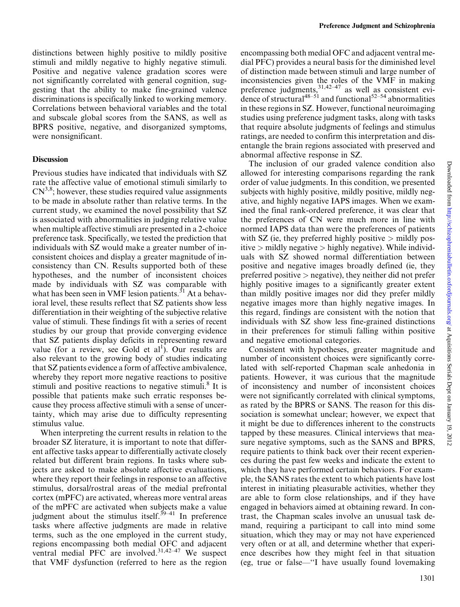distinctions between highly positive to mildly positive stimuli and mildly negative to highly negative stimuli. Positive and negative valence gradation scores were not significantly correlated with general cognition, suggesting that the ability to make fine-grained valence discriminations is specifically linked to working memory. Correlations between behavioral variables and the total and subscale global scores from the SANS, as well as BPRS positive, negative, and disorganized symptoms, were nonsignificant.

#### **Discussion**

Previous studies have indicated that individuals with SZ rate the affective value of emotional stimuli similarly to  $CN^{3,8}$ ; however, these studies required value assignments to be made in absolute rather than relative terms. In the current study, we examined the novel possibility that SZ is associated with abnormalities in judging relative value when multiple affective stimuli are presented in a 2-choice preference task. Specifically, we tested the prediction that individuals with SZ would make a greater number of inconsistent choices and display a greater magnitude of inconsistency than CN. Results supported both of these hypotheses, and the number of inconsistent choices made by individuals with SZ was comparable with what has been seen in VMF lesion patients.<sup>31</sup> At a behavioral level, these results reflect that SZ patients show less differentiation in their weighting of the subjective relative value of stimuli. These findings fit with a series of recent studies by our group that provide converging evidence that SZ patients display deficits in representing reward value (for a review, see Gold et  $al<sup>1</sup>$ ). Our results are also relevant to the growing body of studies indicating that SZ patients evidence a form of affective ambivalence, whereby they report more negative reactions to positive stimuli and positive reactions to negative stimuli.<sup>8</sup> It is possible that patients make such erratic responses because they process affective stimuli with a sense of uncertainty, which may arise due to difficulty representing stimulus value.

When interpreting the current results in relation to the broader SZ literature, it is important to note that different affective tasks appear to differentially activate closely related but different brain regions. In tasks where subjects are asked to make absolute affective evaluations, where they report their feelings in response to an affective stimulus, dorsal/rostral areas of the medial prefrontal cortex (mPFC) are activated, whereas more ventral areas of the mPFC are activated when subjects make a value judgment about the stimulus itself.<sup>39-41</sup> In preference tasks where affective judgments are made in relative terms, such as the one employed in the current study, regions encompassing both medial OFC and adjacent ventral medial  $PFC$  are involved.<sup>31,42–47</sup> We suspect that VMF dysfunction (referred to here as the region

encompassing both medial OFC and adjacent ventral medial PFC) provides a neural basis for the diminished level of distinction made between stimuli and large number of inconsistencies given the roles of the VMF in making preference judgments,  $31,42-47$  as well as consistent evidence of structural<sup>48–51</sup> and functional<sup>52–54</sup> abnormalities in these regions in SZ. However, functional neuroimaging studies using preference judgment tasks, along with tasks that require absolute judgments of feelings and stimulus ratings, are needed to confirm this interpretation and disentangle the brain regions associated with preserved and abnormal affective response in SZ.

The inclusion of our graded valence condition also allowed for interesting comparisons regarding the rank order of value judgments. In this condition, we presented subjects with highly positive, mildly positive, mildly negative, and highly negative IAPS images. When we examined the final rank-ordered preference, it was clear that the preferences of CN were much more in line with normed IAPS data than were the preferences of patients with SZ (ie, they preferred highly positive  $>$  mildly positive  $>$  mildly negative  $>$  highly negative). While individuals with SZ showed normal differentiation between positive and negative images broadly defined (ie, they preferred positive  $>$  negative), they neither did not prefer highly positive images to a significantly greater extent than mildly positive images nor did they prefer mildly negative images more than highly negative images. In this regard, findings are consistent with the notion that individuals with SZ show less fine-grained distinctions in their preferences for stimuli falling within positive and negative emotional categories.

Consistent with hypotheses, greater magnitude and number of inconsistent choices were significantly correlated with self-reported Chapman scale anhedonia in patients. However, it was curious that the magnitude of inconsistency and number of inconsistent choices were not significantly correlated with clinical symptoms, as rated by the BPRS or SANS. The reason for this dissociation is somewhat unclear; however, we expect that it might be due to differences inherent to the constructs tapped by these measures. Clinical interviews that measure negative symptoms, such as the SANS and BPRS, require patients to think back over their recent experiences during the past few weeks and indicate the extent to which they have performed certain behaviors. For example, the SANS rates the extent to which patients have lost interest in initiating pleasurable activities, whether they are able to form close relationships, and if they have engaged in behaviors aimed at obtaining reward. In contrast, the Chapman scales involve an unusual task demand, requiring a participant to call into mind some situation, which they may or may not have experienced very often or at all, and determine whether that experience describes how they might feel in that situation (eg, true or false—''I have usually found lovemaking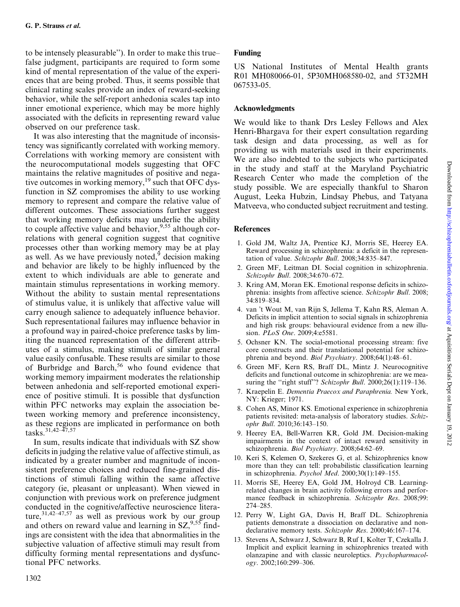to be intensely pleasurable''). In order to make this true– false judgment, participants are required to form some kind of mental representation of the value of the experiences that are being probed. Thus, it seems possible that clinical rating scales provide an index of reward-seeking behavior, while the self-report anhedonia scales tap into inner emotional experience, which may be more highly associated with the deficits in representing reward value observed on our preference task.

It was also interesting that the magnitude of inconsistency was significantly correlated with working memory. Correlations with working memory are consistent with the neurocomputational models suggesting that OFC maintains the relative magnitudes of positive and negative outcomes in working memory,<sup>19</sup> such that OFC dysfunction in SZ compromises the ability to use working memory to represent and compare the relative value of different outcomes. These associations further suggest that working memory deficits may underlie the ability to couple affective value and behavior,  $9.55$  although correlations with general cognition suggest that cognitive processes other than working memory may be at play as well. As we have previously noted, $9$  decision making and behavior are likely to be highly influenced by the extent to which individuals are able to generate and maintain stimulus representations in working memory. Without the ability to sustain mental representations of stimulus value, it is unlikely that affective value will carry enough salience to adequately influence behavior. Such representational failures may influence behavior in a profound way in paired-choice preference tasks by limiting the nuanced representation of the different attributes of a stimulus, making stimuli of similar general value easily confusable. These results are similar to those of Burbridge and Barch,<sup>56</sup> who found evidence that working memory impairment moderates the relationship between anhedonia and self-reported emotional experience of positive stimuli. It is possible that dysfunction within PFC networks may explain the association between working memory and preference inconsistency, as these regions are implicated in performance on both tasks.<sup>31,42–47,57</sup>

In sum, results indicate that individuals with SZ show deficits in judging the relative value of affective stimuli, as indicated by a greater number and magnitude of inconsistent preference choices and reduced fine-grained distinctions of stimuli falling within the same affective category (ie, pleasant or unpleasant). When viewed in conjunction with previous work on preference judgment conducted in the cognitive/affective neuroscience literature, $31,42-47,57$  as well as previous work by our group and others on reward value and learning in  $SZ^{9,55}$  findings are consistent with the idea that abnormalities in the subjective valuation of affective stimuli may result from difficulty forming mental representations and dysfunctional PFC networks.

# Funding

US National Institutes of Mental Health grants R01 MH080066-01, 5P30MH068580-02, and 5T32MH 067533-05.

# Acknowledgments

We would like to thank Drs Lesley Fellows and Alex Henri-Bhargava for their expert consultation regarding task design and data processing, as well as for providing us with materials used in their experiments. We are also indebted to the subjects who participated in the study and staff at the Maryland Psychiatric Research Center who made the completion of the study possible. We are especially thankful to Sharon August, Leeka Hubzin, Lindsay Phebus, and Tatyana Matveeva, who conducted subject recruitment and testing.

## **References**

- 1. Gold JM, Waltz JA, Prentice KJ, Morris SE, Heerey EA. Reward processing in schizophrenia: a deficit in the representation of value. Schizophr Bull. 2008;34:835–847.
- 2. Green MF, Leitman DI. Social cognition in schizophrenia. Schizophr Bull. 2008;34:670–672.
- 3. Kring AM, Moran EK. Emotional response deficits in schizophrenia: insights from affective science. Schizophr Bull. 2008; 34:819–834.
- 4. van 't Wout M, van Rijn S, Jellema T, Kahn RS, Aleman A. Deficits in implicit attention to social signals in schizophrenia and high risk groups: behavioural evidence from a new illusion. PLoS One. 2009;4:e5581.
- 5. Ochsner KN. The social-emotional processing stream: five core constructs and their translational potential for schizophrenia and beyond. Biol Psychiatry. 2008;64(1):48-61.
- 6. Green MF, Kern RS, Braff DL, Mintz J. Neurocognitive deficits and functional outcome in schizophrenia: are we measuring the "right stuff"? Schizophr Bull.  $2000;26(1):119-136$ .
- 7. Kraepelin E. Dementia Praecox and Paraphrenia. New York, NY: Krieger; 1971.
- 8. Cohen AS, Minor KS. Emotional experience in schizophrenia patients revisited: meta-analysis of laboratory studies. Schizophr Bull. 2010;36:143–150.
- 9. Heerey EA, Bell-Warren KR, Gold JM. Decision-making impairments in the context of intact reward sensitivity in schizophrenia. Biol Psychiatry. 2008;64:62–69.
- 10. Keri S, Kelemen O, Szekeres G, et al. Schizophrenics know more than they can tell: probabilistic classification learning in schizophrenia. Psychol Med. 2000;30(1):149–155.
- 11. Morris SE, Heerey EA, Gold JM, Holroyd CB. Learningrelated changes in brain activity following errors and performance feedback in schizophrenia. Schizophr Res. 2008;99: 274–285.
- 12. Perry W, Light GA, Davis H, Braff DL. Schizophrenia patients demonstrate a dissociation on declarative and nondeclarative memory tests. Schizophr Res. 2000;46:167–174.
- 13. Stevens A, Schwarz J, Schwarz B, Ruf I, Kolter T, Czekalla J. Implicit and explicit learning in schizophrenics treated with olanzapine and with classic neuroleptics. Psychopharmacology. 2002;160:299–306.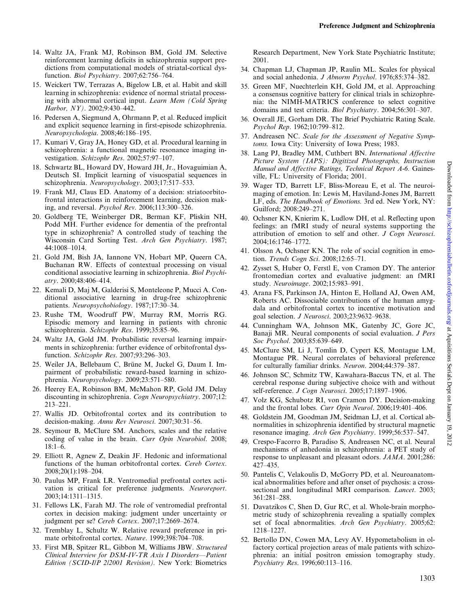- 14. Waltz JA, Frank MJ, Robinson BM, Gold JM. Selective reinforcement learning deficits in schizophrenia support predictions from computational models of striatal-cortical dysfunction. Biol Psychiatry. 2007;62:756–764.
- 15. Weickert TW, Terrazas A, Bigelow LB, et al. Habit and skill learning in schizophrenia: evidence of normal striatal processing with abnormal cortical input. Learn Mem (Cold Spring Harbor, NY). 2002;9:430–442.
- 16. Pedersen A, Siegmund A, Ohrmann P, et al. Reduced implicit and explicit sequence learning in first-episode schizophrenia. Neuropsychologia. 2008;46:186–195.
- 17. Kumari V, Gray JA, Honey GD, et al. Procedural learning in schizophrenia: a functional magnetic resonance imaging investigation. Schizophr Res. 2002;57:97–107.
- 18. Schwartz BL, Howard DV, Howard JH, Jr., Hovaguimian A, Deutsch SI. Implicit learning of visuospatial sequences in schizophrenia. Neuropsychology. 2003;17:517–533.
- 19. Frank MJ, Claus ED. Anatomy of a decision: striatoorbitofrontal interactions in reinforcement learning, decision making, and reversal. Psychol Rev. 2006;113:300–326.
- 20. Goldberg TE, Weinberger DR, Berman KF, Pliskin NH, Podd MH. Further evidence for dementia of the prefrontal type in schizophrenia? A controlled study of teaching the Wisconsin Card Sorting Test. Arch Gen Psychiatry. 1987; 44:1008–1014.
- 21. Gold JM, Bish JA, Iannone VN, Hobart MP, Queern CA, Buchanan RW. Effects of contextual processing on visual conditional associative learning in schizophrenia. Biol Psychiatry. 2000;48:406–414.
- 22. Kemali D, Maj M, Galderisi S, Monteleone P, Mucci A. Conditional associative learning in drug-free schizophrenic patients. Neuropsychobiology. 1987;17:30–34.
- 23. Rushe TM, Woodruff PW, Murray RM, Morris RG. Episodic memory and learning in patients with chronic schizophrenia. Schizophr Res. 1999;35:85–96.
- 24. Waltz JA, Gold JM. Probabilistic reversal learning impairments in schizophrenia: further evidence of orbitofrontal dysfunction. Schizophr Res. 2007;93:296–303.
- 25. Weiler JA, Bellebaum C, Brüne M, Juckel G, Daum I. Impairment of probabilistic reward-based learning in schizophrenia. Neuropsychology. 2009;23:571–580.
- 26. Heerey EA, Robinson BM, McMahon RP, Gold JM. Delay discounting in schizophrenia. Cogn Neuropsychiatry. 2007;12: 213–221.
- 27. Wallis JD. Orbitofrontal cortex and its contribution to decision-making. Annu Rev Neurosci. 2007;30:31–56.
- 28. Seymour B, McClure SM. Anchors, scales and the relative coding of value in the brain. Curr Opin Neurobiol. 2008; 18:1–6.
- 29. Elliott R, Agnew Z, Deakin JF. Hedonic and informational functions of the human orbitofrontal cortex. Cereb Cortex. 2008;20(1):198–204.
- 30. Paulus MP, Frank LR. Ventromedial prefrontal cortex activation is critical for preference judgments. Neuroreport. 2003;14:1311–1315.
- 31. Fellows LK, Farah MJ. The role of ventromedial prefrontal cortex in decision making: judgment under uncertainty or judgment per se? Cereb Cortex. 2007;17:2669–2674.
- 32. Tremblay L, Schultz W. Relative reward preference in primate orbitofrontal cortex. Nature. 1999;398:704–708.
- 33. First MB, Spitzer RL, Gibbon M, Williams JBW. Structured Clinical Interview for DSM-IV-TR Axis I Disorders—Patient Edition (SCID-I/P 2/2001 Revision). New York: Biometrics

Research Department, New York State Psychiatric Institute; 2001.

- 34. Chapman LJ, Chapman JP, Raulin ML. Scales for physical and social anhedonia. J Abnorm Psychol. 1976;85:374–382.
- 35. Green MF, Nuechterlein KH, Gold JM, et al. Approaching a consensus cognitive battery for clinical trials in schizophrenia: the NIMH-MATRICS conference to select cognitive domains and test criteria. Biol Psychiatry. 2004;56:301–307.
- 36. Overall JE, Gorham DR. The Brief Psychiatric Rating Scale. Psychol Rep. 1962;10:799–812.
- 37. Andreasen NC. Scale for the Assessment of Negative Symptoms. Iowa City: University of Iowa Press; 1983.
- 38. Lang PJ, Bradley MM, Cuthbert BN. International Affective Picture System (IAPS): Digitized Photographs, Instruction Manual and Affective Ratings, Technical Report A-6. Gainesville, FL: University of Florida; 2001.
- 39. Wager TD, Barrett LF, Bliss-Moreau E, et al. The neuroimaging of emotion. In: Lewis M, Haviland-Jones JM, Barrett LF, eds. The Handbook of Emotions. 3rd ed. New York, NY: Guilford; 2008:249–271.
- 40. Ochsner KN, Knierim K, Ludlow DH, et al. Reflecting upon feelings: an fMRI study of neural systems supporting the attribution of emotion to self and other. J Cogn Neurosci. 2004;16:1746–1772.
- 41. Olsson A, Ochsner KN. The role of social cognition in emotion. Trends Cogn Sci. 2008;12:65–71.
- 42. Zysset S, Huber O, Ferstl E, von Cramon DY. The anterior frontomedian cortex and evaluative judgment: an fMRI study. Neuroimage. 2002;15:983–991.
- 43. Arana FS, Parkinson JA, Hinton E, Holland AJ, Owen AM, Roberts AC. Dissociable contributions of the human amygdala and orbitofrontal cortex to incentive motivation and goal selection. J Neurosci. 2003;23:9632–9638.
- 44. Cunningham WA, Johnson MK, Gatenby JC, Gore JC, Banaji MR. Neural components of social evaluation. J Pers Soc Psychol. 2003;85:639–649.
- 45. McClure SM, Li J, Tomlin D, Cypert KS, Montague LM, Montague PR. Neural correlates of behavioral preference for culturally familiar drinks. Neuron. 2004;44:379–387.
- 46. Johnson SC, Schmitz TW, Kawahara-Baccus TN, et al. The cerebral response during subjective choice with and without self-reference. J Cogn Neurosci. 2005;17:1897-1906.
- 47. Volz KG, Schubotz RI, von Cramon DY. Decision-making and the frontal lobes. Curr Opin Neurol. 2006;19:401–406.
- 48. Goldstein JM, Goodman JM, Seidman LJ, et al. Cortical abnormalities in schizophrenia identified by structural magnetic resonance imaging. Arch Gen Psychiatry. 1999;56:537–547.
- 49. Crespo-Facorro B, Paradiso S, Andreasen NC, et al. Neural mechanisms of anhedonia in schizophrenia: a PET study of response to unpleasant and pleasant odors. JAMA. 2001;286: 427–435.
- 50. Pantelis C, Velakoulis D, McGorry PD, et al. Neuroanatomical abnormalities before and after onset of psychosis: a crosssectional and longitudinal MRI comparison. Lancet. 2003; 361:281–288.
- 51. Davatzikos C, Shen D, Gur RC, et al. Whole-brain morphometric study of schizophrenia revealing a spatially complex set of focal abnormalities. Arch Gen Psychiatry. 2005;62: 1218–1227.
- 52. Bertollo DN, Cowen MA, Levy AV. Hypometabolism in olfactory cortical projection areas of male patients with schizophrenia: an initial positron emission tomography study. Psychiatry Res. 1996;60:113–116.